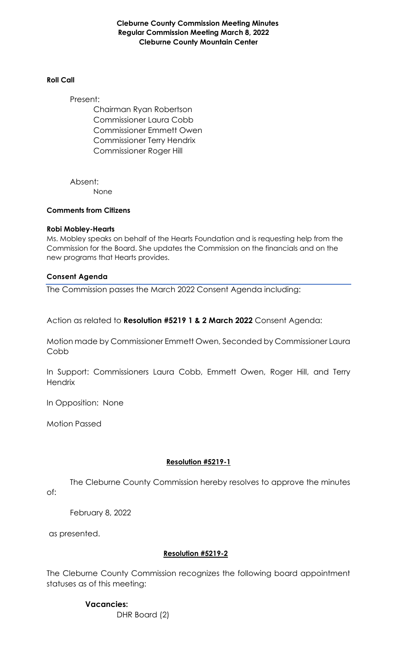**Cleburne County Commission Meeting Minutes Regular Commission Meeting March 8, 2022 Cleburne County Mountain Center**

#### **Roll Call**

Present: Chairman Ryan Robertson Commissioner Laura Cobb Commissioner Emmett Owen Commissioner Terry Hendrix Commissioner Roger Hill

Absent: None

#### **Comments from Citizens**

### **Robi Mobley-Hearts**

Ms. Mobley speaks on behalf of the Hearts Foundation and is requesting help from the Commission for the Board. She updates the Commission on the financials and on the new programs that Hearts provides.

### **Consent Agenda**

The Commission passes the March 2022 Consent Agenda including:

Action as related to **Resolution #5219 1 & 2 March 2022** Consent Agenda:

Motion made by Commissioner Emmett Owen, Seconded by Commissioner Laura Cobb

In Support: Commissioners Laura Cobb, Emmett Owen, Roger Hill, and Terry **Hendrix** 

In Opposition: None

Motion Passed

## **Resolution #5219-1**

The Cleburne County Commission hereby resolves to approve the minutes of:

February 8, 2022

as presented.

## **Resolution #5219-2**

The Cleburne County Commission recognizes the following board appointment statuses as of this meeting:

> **Vacancies:**  DHR Board (2)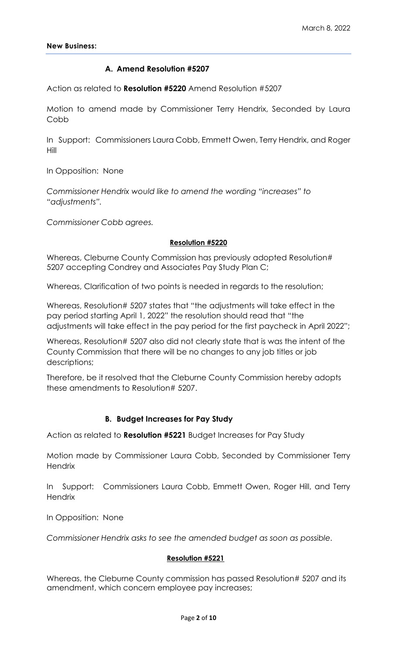## **A. Amend Resolution #5207**

Action as related to **Resolution #5220** Amend Resolution #5207

Motion to amend made by Commissioner Terry Hendrix, Seconded by Laura Cobb

In Support: Commissioners Laura Cobb, Emmett Owen, Terry Hendrix, and Roger Hill

In Opposition: None

*Commissioner Hendrix would like to amend the wording "increases" to "adjustments".*

*Commissioner Cobb agrees.*

#### **Resolution #5220**

Whereas, Cleburne County Commission has previously adopted Resolution# 5207 accepting Condrey and Associates Pay Study Plan C;

Whereas, Clarification of two points is needed in regards to the resolution;

Whereas, Resolution# 5207 states that "the adjustments will take effect in the pay period starting April 1, 2022" the resolution should read that "the adjustments will take effect in the pay period for the first paycheck in April 2022";

Whereas, Resolution# 5207 also did not clearly state that is was the intent of the County Commission that there will be no changes to any job titles or job descriptions;

Therefore, be it resolved that the Cleburne County Commission hereby adopts these amendments to Resolution# 5207.

#### **B. Budget Increases for Pay Study**

Action as related to **Resolution #5221** Budget Increases for Pay Study

Motion made by Commissioner Laura Cobb, Seconded by Commissioner Terry **Hendrix** 

In Support: Commissioners Laura Cobb, Emmett Owen, Roger Hill, and Terry **Hendrix** 

In Opposition: None

*Commissioner Hendrix asks to see the amended budget as soon as possible.*

#### **Resolution #5221**

Whereas, the Cleburne County commission has passed Resolution# 5207 and its amendment, which concern employee pay increases;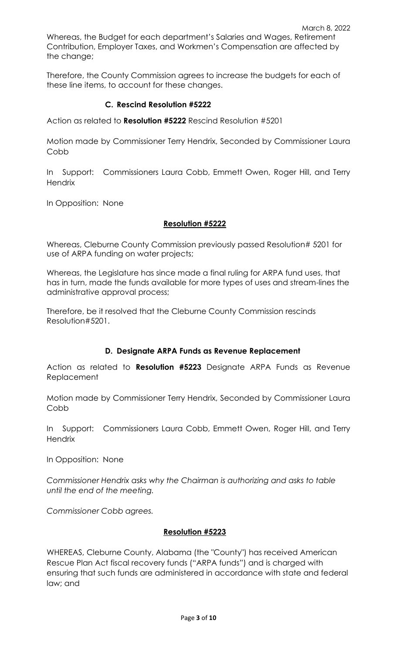Whereas, the Budget for each department's Salaries and Wages, Retirement Contribution, Employer Taxes, and Workmen's Compensation are affected by the change;

Therefore, the County Commission agrees to increase the budgets for each of these line items, to account for these changes.

# **C. Rescind Resolution #5222**

Action as related to **Resolution #5222** Rescind Resolution #5201

Motion made by Commissioner Terry Hendrix, Seconded by Commissioner Laura Cobb

In Support: Commissioners Laura Cobb, Emmett Owen, Roger Hill, and Terry **Hendrix** 

In Opposition: None

## **Resolution #5222**

Whereas, Cleburne County Commission previously passed Resolution# 5201 for use of ARPA funding on water projects;

Whereas, the Legislature has since made a final ruling for ARPA fund uses, that has in turn, made the funds available for more types of uses and stream-lines the administrative approval process;

Therefore, be it resolved that the Cleburne County Commission rescinds Resolution#5201.

## **D. Designate ARPA Funds as Revenue Replacement**

Action as related to **Resolution #5223** Designate ARPA Funds as Revenue Replacement

Motion made by Commissioner Terry Hendrix, Seconded by Commissioner Laura Cobb

In Support: Commissioners Laura Cobb, Emmett Owen, Roger Hill, and Terry **Hendrix** 

In Opposition: None

*Commissioner Hendrix asks why the Chairman is authorizing and asks to table until the end of the meeting.*

*Commissioner Cobb agrees.*

## **Resolution #5223**

WHEREAS, Cleburne County, Alabama (the "County") has received American Rescue Plan Act fiscal recovery funds ("ARPA funds") and is charged with ensuring that such funds are administered in accordance with state and federal law; and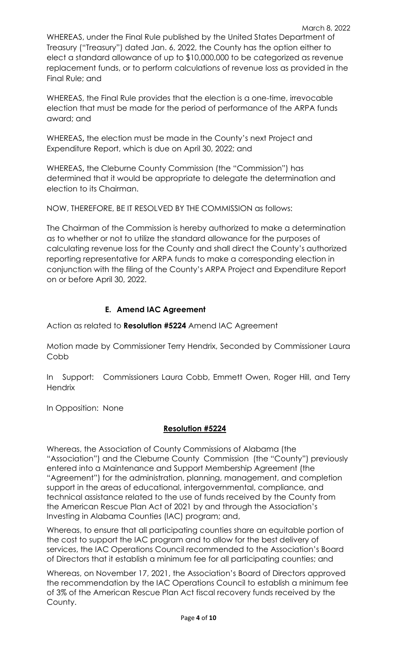Final Rule; and WHEREAS, the Final Rule provides that the election is a one-time, irrevocable election that must be made for the period of performance of the ARPA funds award; and

replacement funds, or to perform calculations of revenue loss as provided in the

WHEREAS**,** the election must be made in the County's next Project and Expenditure Report, which is due on April 30, 2022; and

WHEREAS**,** the Cleburne County Commission (the "Commission") has determined that it would be appropriate to delegate the determination and election to its Chairman.

NOW, THEREFORE, BE IT RESOLVED BY THE COMMISSION as follows:

The Chairman of the Commission is hereby authorized to make a determination as to whether or not to utilize the standard allowance for the purposes of calculating revenue loss for the County and shall direct the County's authorized reporting representative for ARPA funds to make a corresponding election in conjunction with the filing of the County's ARPA Project and Expenditure Report on or before April 30, 2022.

# **E. Amend IAC Agreement**

Action as related to **Resolution #5224** Amend IAC Agreement

Motion made by Commissioner Terry Hendrix, Seconded by Commissioner Laura Cobb

In Support: Commissioners Laura Cobb, Emmett Owen, Roger Hill, and Terry **Hendrix** 

In Opposition: None

# **Resolution #5224**

Whereas, the Association of County Commissions of Alabama (the "Association") and the Cleburne County Commission (the "County") previously entered into a Maintenance and Support Membership Agreement (the "Agreement") for the administration, planning, management, and completion support in the areas of educational, intergovernmental, compliance, and technical assistance related to the use of funds received by the County from the American Rescue Plan Act of 2021 by and through the Association's Investing in Alabama Counties (IAC) program; and,

Whereas, to ensure that all participating counties share an equitable portion of the cost to support the IAC program and to allow for the best delivery of services, the IAC Operations Council recommended to the Association's Board of Directors that it establish a minimum fee for all participating counties; and

Whereas, on November 17, 2021, the Association's Board of Directors approved the recommendation by the IAC Operations Council to establish a minimum fee of 3% of the American Rescue Plan Act fiscal recovery funds received by the County.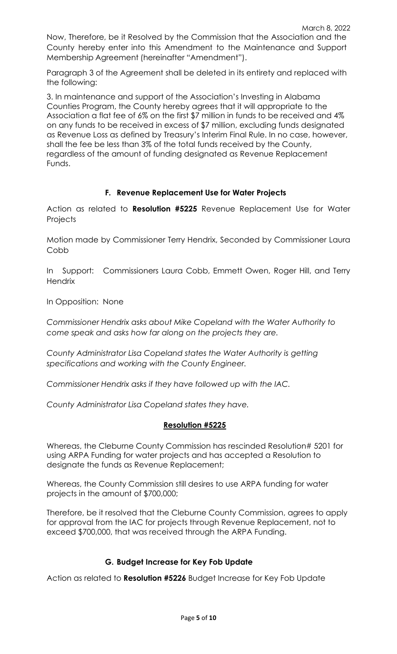Now, Therefore, be it Resolved by the Commission that the Association and the County hereby enter into this Amendment to the Maintenance and Support Membership Agreement (hereinafter "Amendment").

Paragraph 3 of the Agreement shall be deleted in its entirety and replaced with the following:

3. In maintenance and support of the Association's Investing in Alabama Counties Program, the County hereby agrees that it will appropriate to the Association a flat fee of 6% on the first \$7 million in funds to be received and 4% on any funds to be received in excess of \$7 million, excluding funds designated as Revenue Loss as defined by Treasury's Interim Final Rule. In no case, however, shall the fee be less than 3% of the total funds received by the County, regardless of the amount of funding designated as Revenue Replacement Funds.

# **F. Revenue Replacement Use for Water Projects**

Action as related to **Resolution #5225** Revenue Replacement Use for Water **Projects** 

Motion made by Commissioner Terry Hendrix, Seconded by Commissioner Laura Cobb

In Support: Commissioners Laura Cobb, Emmett Owen, Roger Hill, and Terry **Hendrix** 

In Opposition: None

*Commissioner Hendrix asks about Mike Copeland with the Water Authority to come speak and asks how far along on the projects they are.*

*County Administrator Lisa Copeland states the Water Authority is getting specifications and working with the County Engineer.*

*Commissioner Hendrix asks if they have followed up with the IAC.*

*County Administrator Lisa Copeland states they have.*

## **Resolution #5225**

Whereas, the Cleburne County Commission has rescinded Resolution# 5201 for using ARPA Funding for water projects and has accepted a Resolution to designate the funds as Revenue Replacement;

Whereas, the County Commission still desires to use ARPA funding for water projects in the amount of \$700,000;

Therefore, be it resolved that the Cleburne County Commission, agrees to apply for approval from the IAC for projects through Revenue Replacement, not to exceed \$700,000, that was received through the ARPA Funding.

## **G. Budget Increase for Key Fob Update**

Action as related to **Resolution #5226** Budget Increase for Key Fob Update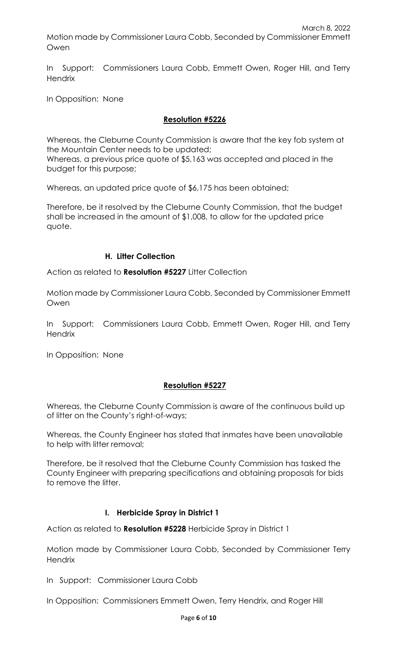In Support: Commissioners Laura Cobb, Emmett Owen, Roger Hill, and Terry **Hendrix** 

In Opposition: None

# **Resolution #5226**

Whereas, the Cleburne County Commission is aware that the key fob system at the Mountain Center needs to be updated; Whereas, a previous price quote of \$5,163 was accepted and placed in the budget for this purpose;

Whereas, an updated price quote of \$6,175 has been obtained;

Therefore, be it resolved by the Cleburne County Commission, that the budget shall be increased in the amount of \$1,008, to allow for the updated price quote.

# **H. Litter Collection**

Action as related to **Resolution #5227** Litter Collection

Motion made by Commissioner Laura Cobb, Seconded by Commissioner Emmett Owen

In Support: Commissioners Laura Cobb, Emmett Owen, Roger Hill, and Terry **Hendrix** 

In Opposition: None

# **Resolution #5227**

Whereas, the Cleburne County Commission is aware of the continuous build up of litter on the County's right-of-ways;

Whereas, the County Engineer has stated that inmates have been unavailable to help with litter removal;

Therefore, be it resolved that the Cleburne County Commission has tasked the County Engineer with preparing specifications and obtaining proposals for bids to remove the litter.

# **I. Herbicide Spray in District 1**

Action as related to **Resolution #5228** Herbicide Spray in District 1

Motion made by Commissioner Laura Cobb, Seconded by Commissioner Terry **Hendrix** 

In Support: Commissioner Laura Cobb

In Opposition: Commissioners Emmett Owen, Terry Hendrix, and Roger Hill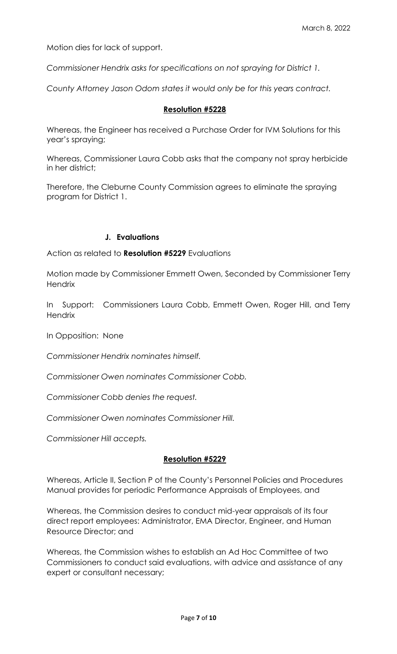Motion dies for lack of support.

*Commissioner Hendrix asks for specifications on not spraying for District 1.*

*County Attorney Jason Odom states it would only be for this years contract.*

#### **Resolution #5228**

Whereas, the Engineer has received a Purchase Order for IVM Solutions for this year's spraying;

Whereas, Commissioner Laura Cobb asks that the company not spray herbicide in her district;

Therefore, the Cleburne County Commission agrees to eliminate the spraying program for District 1.

### **J. Evaluations**

Action as related to **Resolution #5229** Evaluations

Motion made by Commissioner Emmett Owen, Seconded by Commissioner Terry **Hendrix** 

In Support: Commissioners Laura Cobb, Emmett Owen, Roger Hill, and Terry Hendrix

In Opposition: None

*Commissioner Hendrix nominates himself.*

*Commissioner Owen nominates Commissioner Cobb.*

*Commissioner Cobb denies the request.*

*Commissioner Owen nominates Commissioner Hill.*

*Commissioner Hill accepts.*

### **Resolution #5229**

Whereas, Article II, Section P of the County's Personnel Policies and Procedures Manual provides for periodic Performance Appraisals of Employees, and

Whereas, the Commission desires to conduct mid-year appraisals of its four direct report employees: Administrator, EMA Director, Engineer, and Human Resource Director; and

Whereas, the Commission wishes to establish an Ad Hoc Committee of two Commissioners to conduct said evaluations, with advice and assistance of any expert or consultant necessary;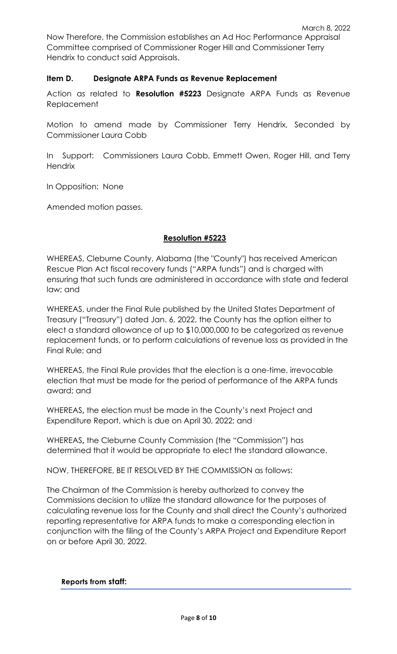Now Therefore, the Commission establishes an Ad Hoc Performance Appraisal Committee comprised of Commissioner Roger Hill and Commissioner Terry Hendrix to conduct said Appraisals.

# **Item D. Designate ARPA Funds as Revenue Replacement**

Action as related to **Resolution #5223** Designate ARPA Funds as Revenue Replacement

Motion to amend made by Commissioner Terry Hendrix, Seconded by Commissioner Laura Cobb

In Support: Commissioners Laura Cobb, Emmett Owen, Roger Hill, and Terry **Hendrix** 

In Opposition: None

Amended motion passes.

# **Resolution #5223**

WHEREAS, Cleburne County, Alabama (the "County") has received American Rescue Plan Act fiscal recovery funds ("ARPA funds") and is charged with ensuring that such funds are administered in accordance with state and federal law; and

WHEREAS, under the Final Rule published by the United States Department of Treasury ("Treasury") dated Jan. 6, 2022, the County has the option either to elect a standard allowance of up to \$10,000,000 to be categorized as revenue replacement funds, or to perform calculations of revenue loss as provided in the Final Rule; and

WHEREAS, the Final Rule provides that the election is a one-time, irrevocable election that must be made for the period of performance of the ARPA funds award; and

WHEREAS**,** the election must be made in the County's next Project and Expenditure Report, which is due on April 30, 2022; and

WHEREAS**,** the Cleburne County Commission (the "Commission") has determined that it would be appropriate to elect the standard allowance.

NOW, THEREFORE, BE IT RESOLVED BY THE COMMISSION as follows:

The Chairman of the Commission is hereby authorized to convey the Commissions decision to utilize the standard allowance for the purposes of calculating revenue loss for the County and shall direct the County's authorized reporting representative for ARPA funds to make a corresponding election in conjunction with the filing of the County's ARPA Project and Expenditure Report on or before April 30, 2022.

#### **Reports from staff:**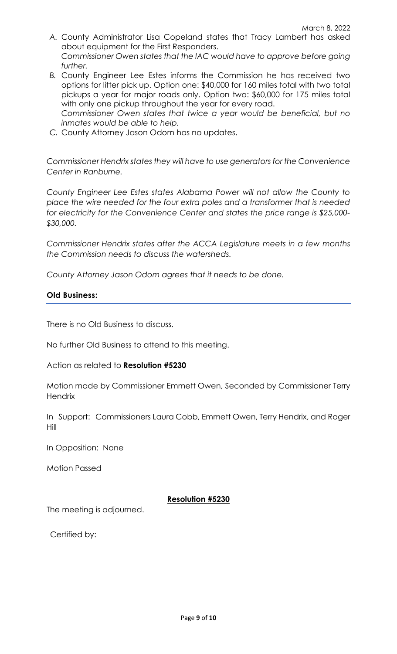- *A.* County Administrator Lisa Copeland states that Tracy Lambert has asked about equipment for the First Responders. *Commissioner Owen states that the IAC would have to approve before going further.*
- *B.* County Engineer Lee Estes informs the Commission he has received two options for litter pick up. Option one: \$40,000 for 160 miles total with two total pickups a year for major roads only. Option two: \$60,000 for 175 miles total with only one pickup throughout the year for every road. *Commissioner Owen states that twice a year would be beneficial, but no*
- *inmates would be able to help. C.* County Attorney Jason Odom has no updates.

*Commissioner Hendrix states they will have to use generators for the Convenience Center in Ranburne.*

*County Engineer Lee Estes states Alabama Power will not allow the County to place the wire needed for the four extra poles and a transformer that is needed for electricity for the Convenience Center and states the price range is \$25,000- \$30,000.*

*Commissioner Hendrix states after the ACCA Legislature meets in a few months the Commission needs to discuss the watersheds.*

*County Attorney Jason Odom agrees that it needs to be done.*

### **Old Business:**

There is no Old Business to discuss.

No further Old Business to attend to this meeting.

Action as related to **Resolution #5230**

Motion made by Commissioner Emmett Owen, Seconded by Commissioner Terry **Hendrix** 

In Support: Commissioners Laura Cobb, Emmett Owen, Terry Hendrix, and Roger Hill

In Opposition: None

Motion Passed

## **Resolution #5230**

The meeting is adjourned.

Certified by: